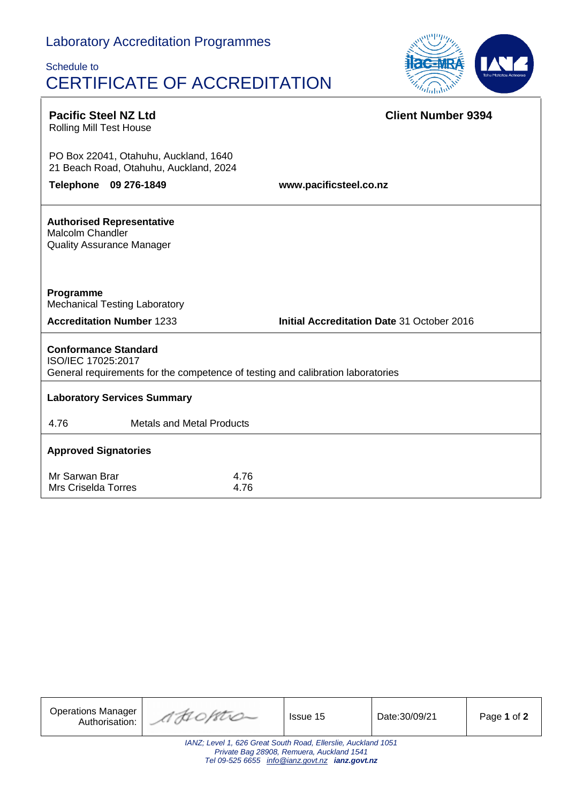# Laboratory Accreditation Programmes

 $\Gamma$ 

# Schedule to CERTIFICATE OF ACCREDITATION



| <b>Pacific Steel NZ Ltd</b><br><b>Rolling Mill Test House</b>                                                                        |                                  | <b>Client Number 9394</b>                  |  |  |  |  |
|--------------------------------------------------------------------------------------------------------------------------------------|----------------------------------|--------------------------------------------|--|--|--|--|
| PO Box 22041, Otahuhu, Auckland, 1640<br>21 Beach Road, Otahuhu, Auckland, 2024                                                      |                                  |                                            |  |  |  |  |
| Telephone 09 276-1849                                                                                                                |                                  | www.pacificsteel.co.nz                     |  |  |  |  |
| <b>Authorised Representative</b><br><b>Malcolm Chandler</b><br><b>Quality Assurance Manager</b>                                      |                                  |                                            |  |  |  |  |
| Programme<br><b>Mechanical Testing Laboratory</b>                                                                                    |                                  |                                            |  |  |  |  |
| <b>Accreditation Number 1233</b>                                                                                                     |                                  | Initial Accreditation Date 31 October 2016 |  |  |  |  |
| <b>Conformance Standard</b><br>ISO/IEC 17025:2017<br>General requirements for the competence of testing and calibration laboratories |                                  |                                            |  |  |  |  |
| <b>Laboratory Services Summary</b>                                                                                                   |                                  |                                            |  |  |  |  |
| 4.76                                                                                                                                 | <b>Metals and Metal Products</b> |                                            |  |  |  |  |
| <b>Approved Signatories</b>                                                                                                          |                                  |                                            |  |  |  |  |
| Mr Sarwan Brar<br><b>Mrs Criselda Torres</b>                                                                                         | 4.76<br>4.76                     |                                            |  |  |  |  |

| <b>Operations Manager</b><br>Authorisation:                                                                                                                  | AFIORTO- | Issue 15 | Date:30/09/21 | Page 1 of 2 |  |  |  |  |
|--------------------------------------------------------------------------------------------------------------------------------------------------------------|----------|----------|---------------|-------------|--|--|--|--|
| IANZ; Level 1, 626 Great South Road, Ellerslie, Auckland 1051<br>Private Bag 28908, Remuera, Auckland 1541<br>Tel 09-525 6655 info@ianz.govt.nz ianz.govt.nz |          |          |               |             |  |  |  |  |